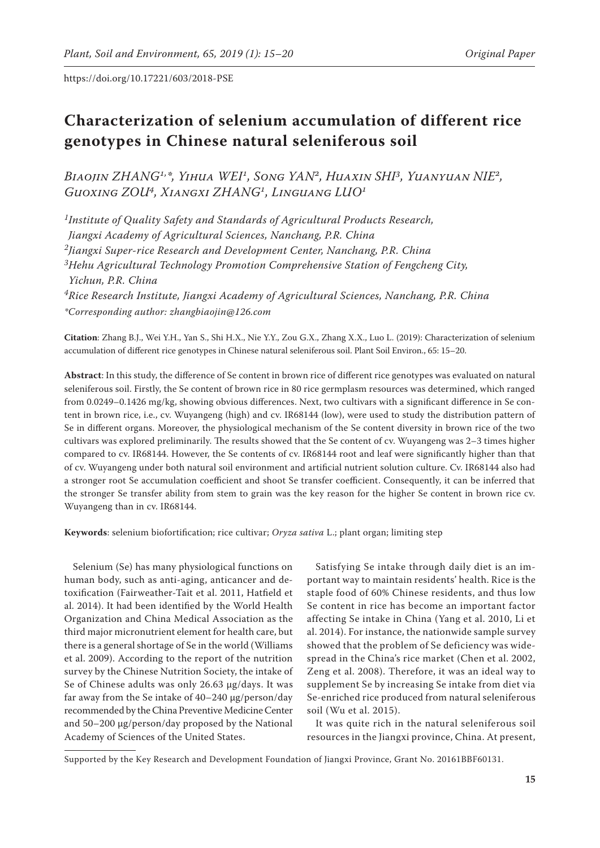# **Characterization of selenium accumulation of different rice genotypes in Chinese natural seleniferous soil**

*Biaojin ZHANG1,\*, Yihua WEI1, Song YAN2, Huaxin SHI3, Yuanyuan NIE2, Guoxing ZOU4, Xiangxi ZHANG1, Linguang LUO1*

*1Institute of Quality Safety and Standards of Agricultural Products Research, Jiangxi Academy of Agricultural Sciences, Nanchang, P.R. China 2Jiangxi Super-rice Research and Development Center, Nanchang, P.R. China 3Hehu Agricultural Technology Promotion Comprehensive Station of Fengcheng City, Yichun, P.R. China 4Rice Research Institute, Jiangxi Academy of Agricultural Sciences, Nanchang, P.R. China \*Corresponding author: zhangbiaojin@126.com*

**Citation**: Zhang B.J., Wei Y.H., Yan S., Shi H.X., Nie Y.Y., Zou G.X., Zhang X.X., Luo L. (2019): Characterization of selenium accumulation of different rice genotypes in Chinese natural seleniferous soil. Plant Soil Environ., 65: 15–20.

**Abstract**: In this study, the difference of Se content in brown rice of different rice genotypes was evaluated on natural seleniferous soil. Firstly, the Se content of brown rice in 80 rice germplasm resources was determined, which ranged from 0.0249–0.1426 mg/kg, showing obvious differences. Next, two cultivars with a significant difference in Se content in brown rice, i.e., cv. Wuyangeng (high) and cv. IR68144 (low), were used to study the distribution pattern of Se in different organs. Moreover, the physiological mechanism of the Se content diversity in brown rice of the two cultivars was explored preliminarily. The results showed that the Se content of cv. Wuyangeng was 2–3 times higher compared to cv. IR68144. However, the Se contents of cv. IR68144 root and leaf were significantly higher than that of cv. Wuyangeng under both natural soil environment and artificial nutrient solution culture. Cv. IR68144 also had a stronger root Se accumulation coefficient and shoot Se transfer coefficient. Consequently, it can be inferred that the stronger Se transfer ability from stem to grain was the key reason for the higher Se content in brown rice cv. Wuyangeng than in cv. IR68144.

**Keywords**: selenium biofortification; rice cultivar; *Oryza sativa* L.; plant organ; limiting step

Selenium (Se) has many physiological functions on human body, such as anti-aging, anticancer and detoxification (Fairweather-Tait et al. 2011, Hatfield et al. 2014). It had been identified by the World Health Organization and China Medical Association as the third major micronutrient element for health care, but there is a general shortage of Se in the world (Williams et al. 2009). According to the report of the nutrition survey by the Chinese Nutrition Society, the intake of Se of Chinese adults was only 26.63 μg/days. It was far away from the Se intake of 40–240 μg/person/day recommended by the China Preventive Medicine Center and 50–200 μg/person/day proposed by the National Academy of Sciences of the United States.

Satisfying Se intake through daily diet is an important way to maintain residents' health. Rice is the staple food of 60% Chinese residents, and thus low Se content in rice has become an important factor affecting Se intake in China (Yang et al. 2010, Li et al. 2014). For instance, the nationwide sample survey showed that the problem of Se deficiency was widespread in the China's rice market (Chen et al. 2002, Zeng et al. 2008). Therefore, it was an ideal way to supplement Se by increasing Se intake from diet via Se-enriched rice produced from natural seleniferous soil (Wu et al. 2015).

It was quite rich in the natural seleniferous soil resources in the Jiangxi province, China. At present,

Supported by the Key Research and Development Foundation of Jiangxi Province, Grant No. 20161BBF60131.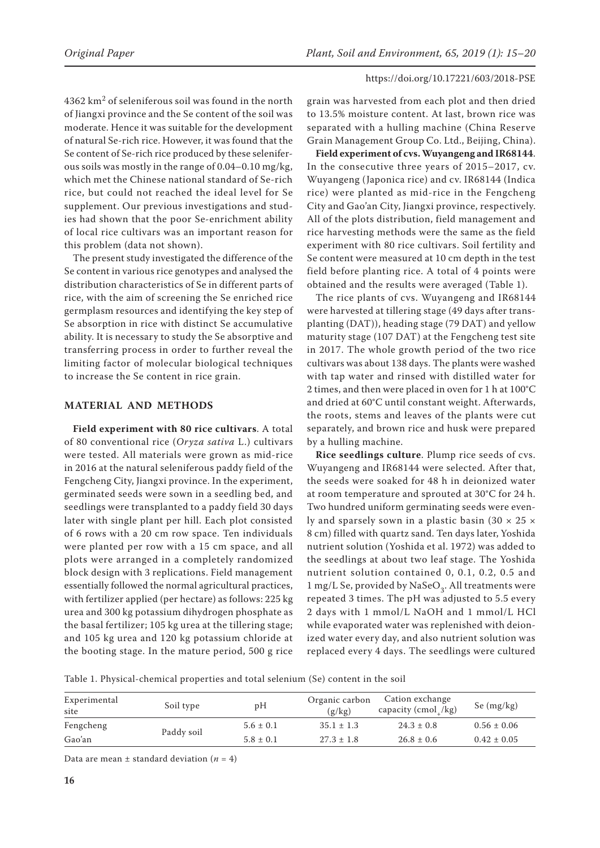$4362 \text{ km}^2$  of seleniferous soil was found in the north of Jiangxi province and the Se content of the soil was moderate. Hence it was suitable for the development of natural Se-rich rice. However, it was found that the Se content of Se-rich rice produced by these seleniferous soils was mostly in the range of 0.04–0.10 mg/kg, which met the Chinese national standard of Se-rich rice, but could not reached the ideal level for Se supplement. Our previous investigations and studies had shown that the poor Se-enrichment ability of local rice cultivars was an important reason for this problem (data not shown).

The present study investigated the difference of the Se content in various rice genotypes and analysed the distribution characteristics of Se in different parts of rice, with the aim of screening the Se enriched rice germplasm resources and identifying the key step of Se absorption in rice with distinct Se accumulative ability. It is necessary to study the Se absorptive and transferring process in order to further reveal the limiting factor of molecular biological techniques to increase the Se content in rice grain.

# **MATERIAL AND METHODS**

**Field experiment with 80 rice cultivars**. A total of 80 conventional rice (*Oryza sativa* L.) cultivars were tested. All materials were grown as mid-rice in 2016 at the natural seleniferous paddy field of the Fengcheng City, Jiangxi province. In the experiment, germinated seeds were sown in a seedling bed, and seedlings were transplanted to a paddy field 30 days later with single plant per hill. Each plot consisted of 6 rows with a 20 cm row space. Ten individuals were planted per row with a 15 cm space, and all plots were arranged in a completely randomized block design with 3 replications. Field management essentially followed the normal agricultural practices, with fertilizer applied (per hectare) as follows: 225 kg urea and 300 kg potassium dihydrogen phosphate as the basal fertilizer; 105 kg urea at the tillering stage; and 105 kg urea and 120 kg potassium chloride at the booting stage. In the mature period, 500 g rice

grain was harvested from each plot and then dried to 13.5% moisture content. At last, brown rice was separated with a hulling machine (China Reserve Grain Management Group Co. Ltd., Beijing, China).

**Field experiment of cvs. Wuyangeng and IR68144**. In the consecutive three years of 2015–2017, cv. Wuyangeng (Japonica rice) and cv. IR68144 (Indica rice) were planted as mid-rice in the Fengcheng City and Gao'an City, Jiangxi province, respectively. All of the plots distribution, field management and rice harvesting methods were the same as the field experiment with 80 rice cultivars. Soil fertility and Se content were measured at 10 cm depth in the test field before planting rice. A total of 4 points were obtained and the results were averaged (Table 1).

The rice plants of cvs. Wuyangeng and IR68144 were harvested at tillering stage (49 days after transplanting (DAT)), heading stage (79 DAT) and yellow maturity stage (107 DAT) at the Fengcheng test site in 2017. The whole growth period of the two rice cultivars was about 138 days. The plants were washed with tap water and rinsed with distilled water for 2 times, and then were placed in oven for 1 h at 100°C and dried at 60°C until constant weight. Afterwards, the roots, stems and leaves of the plants were cut separately, and brown rice and husk were prepared by a hulling machine.

**Rice seedlings culture**. Plump rice seeds of cvs. Wuyangeng and IR68144 were selected. After that, the seeds were soaked for 48 h in deionized water at room temperature and sprouted at 30°C for 24 h. Two hundred uniform germinating seeds were evenly and sparsely sown in a plastic basin (30 × 25 × 8 cm) filled with quartz sand. Ten days later, Yoshida nutrient solution (Yoshida et al. 1972) was added to the seedlings at about two leaf stage. The Yoshida nutrient solution contained 0, 0.1, 0.2, 0.5 and 1 mg/L Se, provided by NaSeO<sub>3</sub>. All treatments were repeated 3 times. The pH was adjusted to 5.5 every 2 days with 1 mmol/L NaOH and 1 mmol/L HCl while evaporated water was replenished with deionized water every day, and also nutrient solution was replaced every 4 days. The seedlings were cultured

Table 1. Physical-chemical properties and total selenium (Se) content in the soil

| Experimental<br>site | Soil type  | pН            | Organic carbon<br>(g/kg) | Cation exchange<br>capacity (cmol /kg) | Se $(mg/kg)$    |
|----------------------|------------|---------------|--------------------------|----------------------------------------|-----------------|
| Fengcheng            |            | $5.6 \pm 0.1$ | $35.1 \pm 1.3$           | $24.3 \pm 0.8$                         | $0.56 \pm 0.06$ |
| Gao'an               | Paddy soil | $5.8 \pm 0.1$ | $27.3 \pm 1.8$           | $26.8 \pm 0.6$                         | $0.42 \pm 0.05$ |

Data are mean  $\pm$  standard deviation ( $n = 4$ )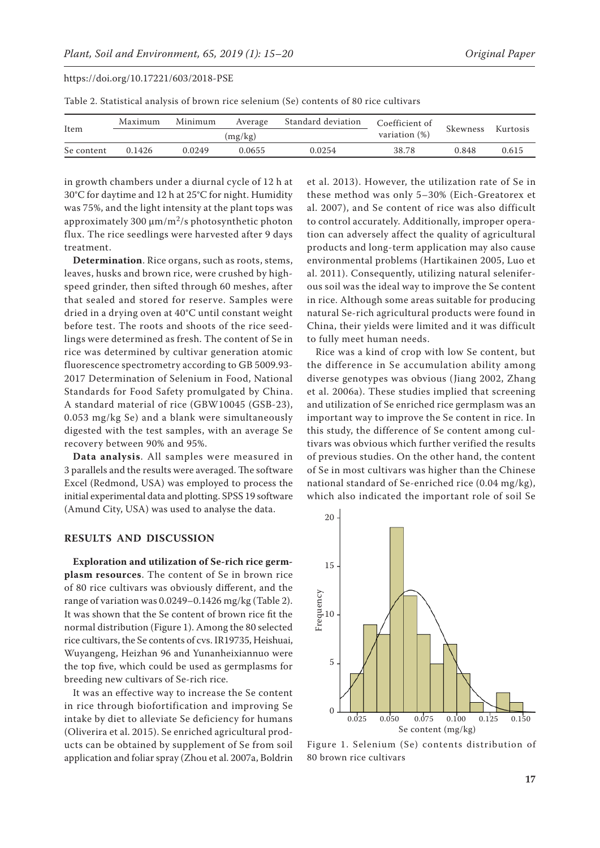| Table 2. Statistical analysis of brown rice selenium (Se) contents of 80 rice cultivars |  |
|-----------------------------------------------------------------------------------------|--|
|-----------------------------------------------------------------------------------------|--|

| Item       | Maximum | Standard deviation<br>Minimum<br>Average |        | Coefficient of | Skewness | Kurtosis |                  |
|------------|---------|------------------------------------------|--------|----------------|----------|----------|------------------|
|            |         | (mg/kg)                                  |        |                |          |          | variation $(\%)$ |
| Se content | 0.1426  | 0.0249                                   | 0.0655 | 0.0254         | 38.78    | 0.848    | 0.615            |

in growth chambers under a diurnal cycle of 12 h at 30°C for daytime and 12 h at 25°C for night. Humidity was 75%, and the light intensity at the plant tops was approximately 300  $\mu$ m/m<sup>2</sup>/s photosynthetic photon flux. The rice seedlings were harvested after 9 days treatment.

**Determination**. Rice organs, such as roots, stems, leaves, husks and brown rice, were crushed by highspeed grinder, then sifted through 60 meshes, after that sealed and stored for reserve. Samples were dried in a drying oven at 40°C until constant weight before test. The roots and shoots of the rice seedlings were determined as fresh. The content of Se in rice was determined by cultivar generation atomic fluorescence spectrometry according to GB 5009.93- 2017 Determination of Selenium in Food, National Standards for Food Safety promulgated by China. A standard material of rice (GBW10045 (GSB-23), 0.053 mg/kg Se) and a blank were simultaneously digested with the test samples, with an average Se recovery between 90% and 95%.

**Data analysis**. All samples were measured in 3 parallels and the results were averaged. The software Excel (Redmond, USA) was employed to process the initial experimental data and plotting. SPSS 19 software (Amund City, USA) was used to analyse the data.

#### **RESULTS AND DISCUSSION**

**Exploration and utilization of Se-rich rice germplasm resources**. The content of Se in brown rice of 80 rice cultivars was obviously different, and the range of variation was 0.0249–0.1426 mg/kg (Table 2). It was shown that the Se content of brown rice fit the normal distribution (Figure 1). Among the 80 selected rice cultivars, the Se contents of cvs. IR19735, Heishuai, Wuyangeng, Heizhan 96 and Yunanheixiannuo were the top five, which could be used as germplasms for breeding new cultivars of Se-rich rice.

It was an effective way to increase the Se content in rice through biofortification and improving Se intake by diet to alleviate Se deficiency for humans (Oliverira et al. 2015). Se enriched agricultural products can be obtained by supplement of Se from soil application and foliar spray (Zhou et al. 2007a, Boldrin et al. 2013). However, the utilization rate of Se in these method was only 5–30% (Eich-Greatorex et al. 2007), and Se content of rice was also difficult to control accurately. Additionally, improper operation can adversely affect the quality of agricultural products and long-term application may also cause environmental problems (Hartikainen 2005, Luo et al. 2011). Consequently, utilizing natural seleniferous soil was the ideal way to improve the Se content in rice. Although some areas suitable for producing natural Se-rich agricultural products were found in China, their yields were limited and it was difficult to fully meet human needs.

Rice was a kind of crop with low Se content, but the difference in Se accumulation ability among diverse genotypes was obvious (Jiang 2002, Zhang et al. 2006a). These studies implied that screening and utilization of Se enriched rice germplasm was an important way to improve the Se content in rice. In this study, the difference of Se content among cultivars was obvious which further verified the results of previous studies. On the other hand, the content of Se in most cultivars was higher than the Chinese national standard of Se-enriched rice (0.04 mg/kg), which also indicated the important role of soil Se



Figure 1. Selenium (Se) contents distribution of 80 brown rice cultivars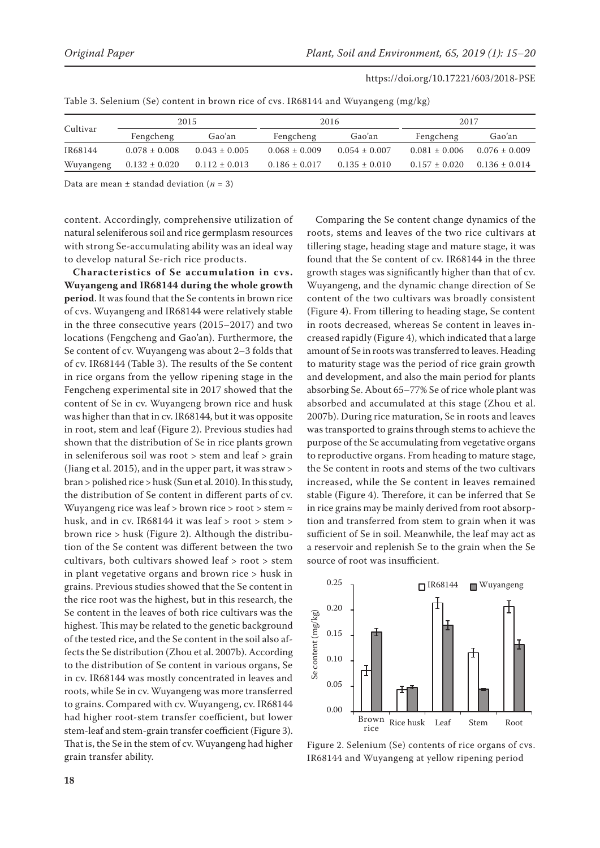| https://doi.org/10.17221/603/2018-PSE |  |
|---------------------------------------|--|
|---------------------------------------|--|

| Cultivar  | 2015              |                   | 2016              |                   | 2017              |                   |
|-----------|-------------------|-------------------|-------------------|-------------------|-------------------|-------------------|
|           | Fengcheng         | Gao'an            | Fengcheng         | Gao'an            | Fengcheng         | Gao'an            |
| IR68144   | $0.078 \pm 0.008$ | $0.043 \pm 0.005$ | $0.068 \pm 0.009$ | $0.054 \pm 0.007$ | $0.081 \pm 0.006$ | $0.076 \pm 0.009$ |
| Wuyangeng | $0.132 \pm 0.020$ | $0.112 \pm 0.013$ | $0.186 \pm 0.017$ | $0.135 \pm 0.010$ | $0.157 \pm 0.020$ | $0.136 \pm 0.014$ |

Table 3. Selenium (Se) content in brown rice of cvs. IR68144 and Wuyangeng (mg/kg)

Data are mean  $\pm$  standad deviation ( $n = 3$ )

content. Accordingly, comprehensive utilization of natural seleniferous soil and rice germplasm resources with strong Se-accumulating ability was an ideal way to develop natural Se-rich rice products.

**Characteristics of Se accumulation in cvs. Wuyangeng and IR68144 during the whole growth period**. It was found that the Se contents in brown rice of cvs. Wuyangeng and IR68144 were relatively stable in the three consecutive years (2015–2017) and two locations (Fengcheng and Gao'an). Furthermore, the Se content of cv. Wuyangeng was about 2–3 folds that of cv. IR68144 (Table 3). The results of the Se content in rice organs from the yellow ripening stage in the Fengcheng experimental site in 2017 showed that the content of Se in cv. Wuyangeng brown rice and husk was higher than that in cv. IR68144, but it was opposite in root, stem and leaf (Figure 2). Previous studies had shown that the distribution of Se in rice plants grown in seleniferous soil was root > stem and leaf > grain (Jiang et al. 2015), and in the upper part, it was straw > bran > polished rice > husk (Sun et al. 2010). In this study, the distribution of Se content in different parts of cv. Wuyangeng rice was leaf > brown rice > root > stem  $\approx$ husk, and in cv. IR68144 it was leaf > root > stem > brown rice > husk (Figure 2). Although the distribution of the Se content was different between the two cultivars, both cultivars showed leaf > root > stem in plant vegetative organs and brown rice > husk in grains. Previous studies showed that the Se content in the rice root was the highest, but in this research, the Se content in the leaves of both rice cultivars was the highest. This may be related to the genetic background of the tested rice, and the Se content in the soil also affects the Se distribution (Zhou et al. 2007b). According to the distribution of Se content in various organs, Se in cv. IR68144 was mostly concentrated in leaves and roots, while Se in cv. Wuyangeng was more transferred to grains. Compared with cv. Wuyangeng, cv. IR68144 had higher root-stem transfer coefficient, but lower stem-leaf and stem-grain transfer coefficient (Figure 3). That is, the Se in the stem of cv. Wuyangeng had higher grain transfer ability.

Comparing the Se content change dynamics of the roots, stems and leaves of the two rice cultivars at tillering stage, heading stage and mature stage, it was found that the Se content of cv. IR68144 in the three growth stages was significantly higher than that of cv. Wuyangeng, and the dynamic change direction of Se content of the two cultivars was broadly consistent (Figure 4). From tillering to heading stage, Se content in roots decreased, whereas Se content in leaves increased rapidly (Figure 4), which indicated that a large amount of Se in roots was transferred to leaves. Heading to maturity stage was the period of rice grain growth and development, and also the main period for plants absorbing Se. About 65–77% Se of rice whole plant was absorbed and accumulated at this stage (Zhou et al. 2007b). During rice maturation, Se in roots and leaves was transported to grains through stems to achieve the purpose of the Se accumulating from vegetative organs to reproductive organs. From heading to mature stage, the Se content in roots and stems of the two cultivars increased, while the Se content in leaves remained stable (Figure 4). Therefore, it can be inferred that Se in rice grains may be mainly derived from root absorption and transferred from stem to grain when it was sufficient of Se in soil. Meanwhile, the leaf may act as a reservoir and replenish Se to the grain when the Se source of root was insufficient.



Figure 2. Selenium (Se) contents of rice organs of cvs. IR68144 and Wuyangeng at yellow ripening period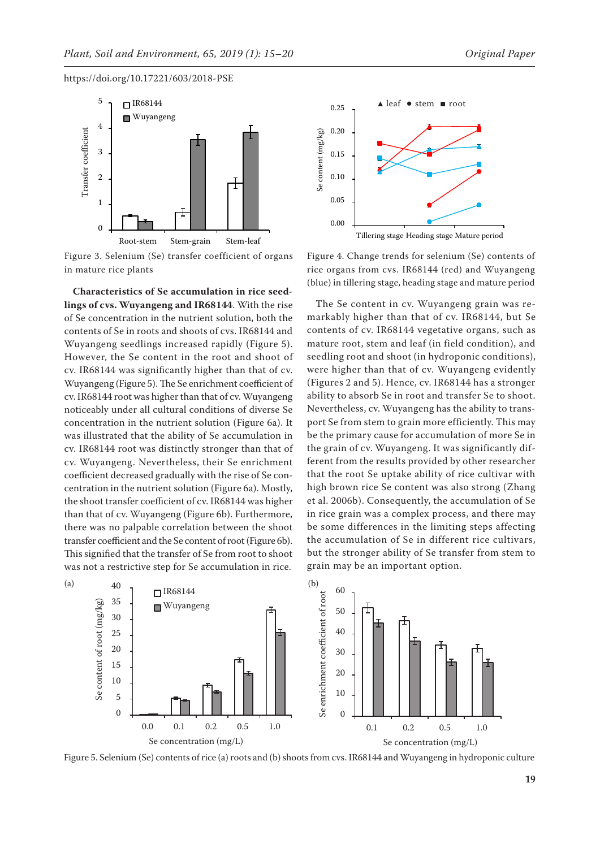

Figure 3. Selenium (Se) transfer coefficient of organs in mature rice plants

**Characteristics of Se accumulation in rice seedlings of cvs. Wuyangeng and IR68144**. With the rise of Se concentration in the nutrient solution, both the contents of Se in roots and shoots of cvs. IR68144 and Wuyangeng seedlings increased rapidly (Figure 5). However, the Se content in the root and shoot of cv. IR68144 was significantly higher than that of cv. Wuyangeng (Figure 5). The Se enrichment coefficient of cv. IR68144 root was higher than that of cv. Wuyangeng noticeably under all cultural conditions of diverse Se concentration in the nutrient solution (Figure 6a). It was illustrated that the ability of Se accumulation in cv. IR68144 root was distinctly stronger than that of cv. Wuyangeng. Nevertheless, their Se enrichment coefficient decreased gradually with the rise of Se concentration in the nutrient solution (Figure 6a). Mostly, the shoot transfer coefficient of cv. IR68144 was higher than that of cv. Wuyangeng (Figure 6b). Furthermore, there was no palpable correlation between the shoot transfer coefficient and the Se content of root (Figure 6b). This signified that the transfer of Se from root to shoot was not a restrictive step for Se accumulation in rice.



Leaf of IR68144 Leaf of Wuyangeng

Figure 4. Change trends for selenium (Se) contents of rice organs from cvs. IR68144 (red) and Wuyangeng (blue) in tillering stage, heading stage and mature period

The Se content in cv. Wuyangeng grain was remarkably higher than that of cv. IR68144, but Se contents of cv. IR68144 vegetative organs, such as mature root, stem and leaf (in field condition), and seedling root and shoot (in hydroponic conditions), were higher than that of cv. Wuyangeng evidently (Figures 2 and 5). Hence, cv. IR68144 has a stronger ability to absorb Se in root and transfer Se to shoot. Nevertheless, cv. Wuyangeng has the ability to transport Se from stem to grain more efficiently. This may be the primary cause for accumulation of more Se in the grain of cv. Wuyangeng. It was significantly different from the results provided by other researcher that the root Se uptake ability of rice cultivar with high brown rice Se content was also strong (Zhang et al. 2006b). Consequently, the accumulation of Se in rice grain was a complex process, and there may be some differences in the limiting steps affecting the accumulation of Se in different rice cultivars, but the stronger ability of Se transfer from stem to grain may be an important option.



Figure 5. Selenium (Se) contents of rice (a) roots and (b) shoots from cvs. IR68144 and Wuyangeng in hydroponic culture